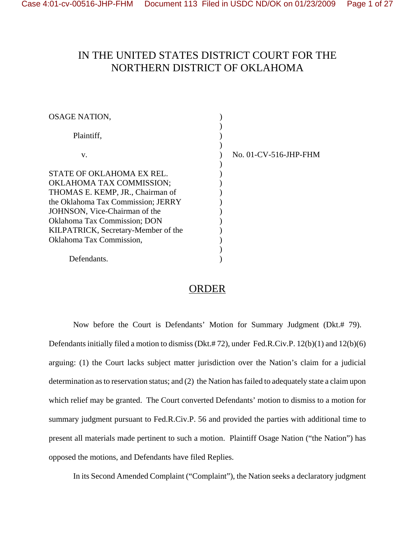### IN THE UNITED STATES DISTRICT COURT FOR THE NORTHERN DISTRICT OF OKLAHOMA

| <b>OSAGE NATION,</b>                |                       |
|-------------------------------------|-----------------------|
| Plaintiff,                          |                       |
| V.                                  | No. 01-CV-516-JHP-FHM |
| STATE OF OKLAHOMA EX REL.           |                       |
| <b>OKLAHOMA TAX COMMISSION;</b>     |                       |
| THOMAS E. KEMP, JR., Chairman of    |                       |
| the Oklahoma Tax Commission; JERRY  |                       |
| JOHNSON, Vice-Chairman of the       |                       |
| <b>Oklahoma Tax Commission; DON</b> |                       |
| KILPATRICK, Secretary-Member of the |                       |
| Oklahoma Tax Commission,            |                       |
|                                     |                       |
| Defendants.                         |                       |

### **ORDER**

Now before the Court is Defendants' Motion for Summary Judgment (Dkt.# 79). Defendants initially filed a motion to dismiss (Dkt.# 72), under Fed.R.Civ.P. 12(b)(1) and 12(b)(6) arguing: (1) the Court lacks subject matter jurisdiction over the Nation's claim for a judicial determination as to reservation status; and (2) the Nation has failed to adequately state a claim upon which relief may be granted. The Court converted Defendants' motion to dismiss to a motion for summary judgment pursuant to Fed.R.Civ.P. 56 and provided the parties with additional time to present all materials made pertinent to such a motion. Plaintiff Osage Nation ("the Nation") has opposed the motions, and Defendants have filed Replies.

In its Second Amended Complaint ("Complaint"), the Nation seeks a declaratory judgment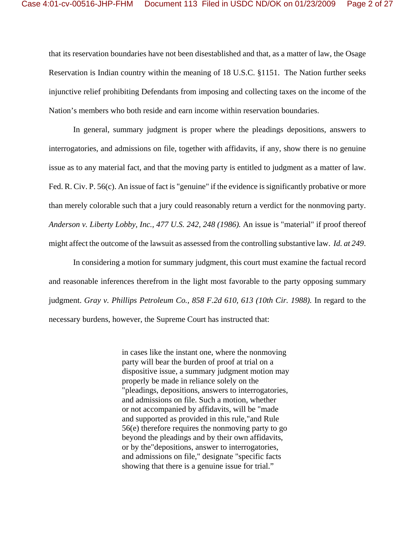that its reservation boundaries have not been disestablished and that, as a matter of law, the Osage Reservation is Indian country within the meaning of 18 U.S.C. §1151. The Nation further seeks injunctive relief prohibiting Defendants from imposing and collecting taxes on the income of the Nation's members who both reside and earn income within reservation boundaries.

In general, summary judgment is proper where the pleadings depositions, answers to interrogatories, and admissions on file, together with affidavits, if any, show there is no genuine issue as to any material fact, and that the moving party is entitled to judgment as a matter of law. Fed. R. Civ. P. 56(c). An issue of fact is "genuine" if the evidence is significantly probative or more than merely colorable such that a jury could reasonably return a verdict for the nonmoving party. *Anderson v. Liberty Lobby, Inc., 477 U.S. 242, 248 (1986).* An issue is "material" if proof thereof might affect the outcome of the lawsuit as assessed from the controlling substantive law. *Id. at 249*.

In considering a motion for summary judgment, this court must examine the factual record and reasonable inferences therefrom in the light most favorable to the party opposing summary judgment. *Gray v. Phillips Petroleum Co., 858 F.2d 610, 613 (10th Cir. 1988).* In regard to the necessary burdens, however, the Supreme Court has instructed that:

> in cases like the instant one, where the nonmoving party will bear the burden of proof at trial on a dispositive issue, a summary judgment motion may properly be made in reliance solely on the "pleadings, depositions, answers to interrogatories, and admissions on file. Such a motion, whether or not accompanied by affidavits, will be "made and supported as provided in this rule,"and Rule 56(e) therefore requires the nonmoving party to go beyond the pleadings and by their own affidavits, or by the"depositions, answer to interrogatories, and admissions on file," designate "specific facts showing that there is a genuine issue for trial."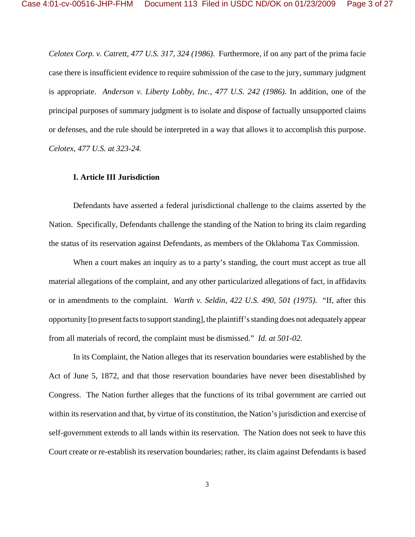*Celotex Corp. v. Catrett, 477 U.S. 317, 324 (1986)*. Furthermore, if on any part of the prima facie case there is insufficient evidence to require submission of the case to the jury, summary judgment is appropriate. *Anderson v. Liberty Lobby, Inc., 477 U.S. 242 (1986)*. In addition, one of the principal purposes of summary judgment is to isolate and dispose of factually unsupported claims or defenses, and the rule should be interpreted in a way that allows it to accomplish this purpose. *Celotex*, *477 U.S. at 323-24.* 

#### **I. Article III Jurisdiction**

Defendants have asserted a federal jurisdictional challenge to the claims asserted by the Nation. Specifically, Defendants challenge the standing of the Nation to bring its claim regarding the status of its reservation against Defendants, as members of the Oklahoma Tax Commission.

When a court makes an inquiry as to a party's standing, the court must accept as true all material allegations of the complaint, and any other particularized allegations of fact, in affidavits or in amendments to the complaint. *Warth v. Seldin, 422 U.S. 490, 501 (1975).* "If, after this opportunity [to present facts to support standing], the plaintiff's standing does not adequately appear from all materials of record, the complaint must be dismissed." *Id. at 501-02.*

In its Complaint, the Nation alleges that its reservation boundaries were established by the Act of June 5, 1872, and that those reservation boundaries have never been disestablished by Congress. The Nation further alleges that the functions of its tribal government are carried out within its reservation and that, by virtue of its constitution, the Nation's jurisdiction and exercise of self-government extends to all lands within its reservation. The Nation does not seek to have this Court create or re-establish its reservation boundaries; rather, its claim against Defendants is based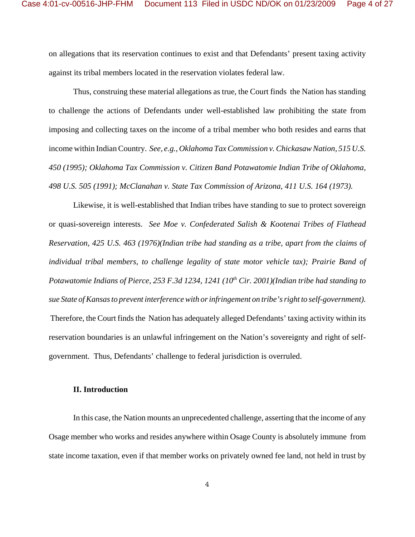on allegations that its reservation continues to exist and that Defendants' present taxing activity against its tribal members located in the reservation violates federal law.

Thus, construing these material allegations as true, the Court finds the Nation has standing to challenge the actions of Defendants under well-established law prohibiting the state from imposing and collecting taxes on the income of a tribal member who both resides and earns that income within Indian Country. *See, e.g., Oklahoma Tax Commission v. Chickasaw Nation, 515 U.S. 450 (1995); Oklahoma Tax Commission v. Citizen Band Potawatomie Indian Tribe of Oklahoma, 498 U.S. 505 (1991); McClanahan v. State Tax Commission of Arizona, 411 U.S. 164 (1973).*

Likewise, it is well-established that Indian tribes have standing to sue to protect sovereign or quasi-sovereign interests. *See Moe v. Confederated Salish & Kootenai Tribes of Flathead Reservation, 425 U.S. 463 (1976)(Indian tribe had standing as a tribe, apart from the claims of individual tribal members, to challenge legality of state motor vehicle tax); Prairie Band of Potawatomie Indians of Pierce, 253 F.3d 1234, 1241 (10<sup>th</sup> Cir. 2001)(Indian tribe had standing to sue State of Kansas to prevent interference with or infringement on tribe's right to self-government).* Therefore, the Court finds the Nation has adequately alleged Defendants' taxing activity within its reservation boundaries is an unlawful infringement on the Nation's sovereignty and right of selfgovernment. Thus, Defendants' challenge to federal jurisdiction is overruled.

#### **II. Introduction**

In this case, the Nation mounts an unprecedented challenge, asserting that the income of any Osage member who works and resides anywhere within Osage County is absolutely immune from state income taxation, even if that member works on privately owned fee land, not held in trust by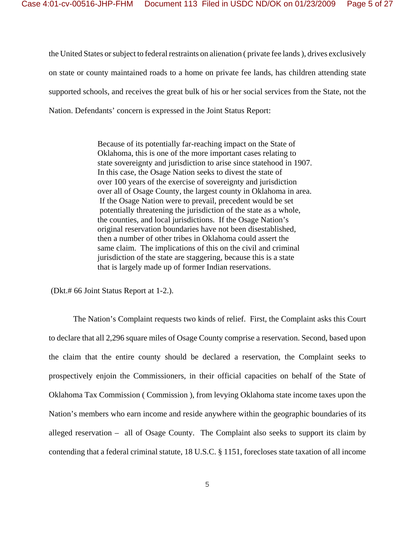the United States or subject to federal restraints on alienation ( private fee lands ), drives exclusively on state or county maintained roads to a home on private fee lands, has children attending state supported schools, and receives the great bulk of his or her social services from the State, not the Nation. Defendants' concern is expressed in the Joint Status Report:

> Because of its potentially far-reaching impact on the State of Oklahoma, this is one of the more important cases relating to state sovereignty and jurisdiction to arise since statehood in 1907. In this case, the Osage Nation seeks to divest the state of over 100 years of the exercise of sovereignty and jurisdiction over all of Osage County, the largest county in Oklahoma in area. If the Osage Nation were to prevail, precedent would be set potentially threatening the jurisdiction of the state as a whole, the counties, and local jurisdictions. If the Osage Nation's original reservation boundaries have not been disestablished, then a number of other tribes in Oklahoma could assert the same claim. The implications of this on the civil and criminal jurisdiction of the state are staggering, because this is a state that is largely made up of former Indian reservations.

(Dkt.# 66 Joint Status Report at 1-2.).

The Nation's Complaint requests two kinds of relief. First, the Complaint asks this Court to declare that all 2,296 square miles of Osage County comprise a reservation. Second, based upon the claim that the entire county should be declared a reservation, the Complaint seeks to prospectively enjoin the Commissioners, in their official capacities on behalf of the State of Oklahoma Tax Commission ( Commission ), from levying Oklahoma state income taxes upon the Nation's members who earn income and reside anywhere within the geographic boundaries of its alleged reservation – all of Osage County. The Complaint also seeks to support its claim by contending that a federal criminal statute, 18 U.S.C. § 1151, forecloses state taxation of all income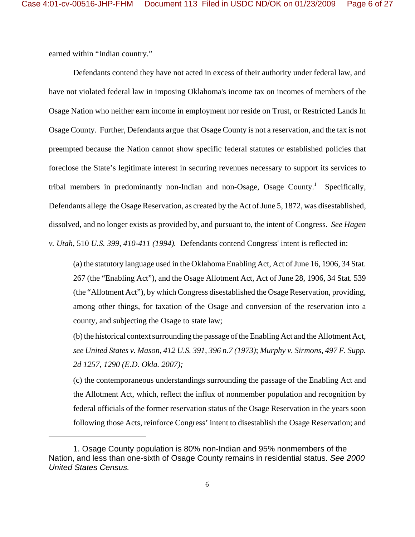earned within "Indian country."

Defendants contend they have not acted in excess of their authority under federal law, and have not violated federal law in imposing Oklahoma's income tax on incomes of members of the Osage Nation who neither earn income in employment nor reside on Trust, or Restricted Lands In Osage County. Further, Defendants argue that Osage County is not a reservation, and the tax is not preempted because the Nation cannot show specific federal statutes or established policies that foreclose the State's legitimate interest in securing revenues necessary to support its services to tribal members in predominantly non-Indian and non-Osage, Osage County.<sup>1</sup> Specifically, Defendants allege the Osage Reservation, as created by the Act of June 5, 1872, was disestablished, dissolved, and no longer exists as provided by, and pursuant to, the intent of Congress. *See Hagen v. Utah*, 510 *U.S. 399, 410-411 (1994).* Defendants contend Congress' intent is reflected in:

(a) the statutory language used in the Oklahoma Enabling Act, Act of June 16, 1906, 34 Stat. 267 (the "Enabling Act"), and the Osage Allotment Act, Act of June 28, 1906, 34 Stat. 539 (the "Allotment Act"), by which Congress disestablished the Osage Reservation, providing, among other things, for taxation of the Osage and conversion of the reservation into a county, and subjecting the Osage to state law;

(b) the historical context surrounding the passage of the Enabling Act and the Allotment Act, *see United States v. Mason*, *412 U.S. 391, 396 n.7 (1973)*; *Murphy v. Sirmons*, *497 F. Supp. 2d 1257, 1290 (E.D. Okla. 2007);* 

(c) the contemporaneous understandings surrounding the passage of the Enabling Act and the Allotment Act, which, reflect the influx of nonmember population and recognition by federal officials of the former reservation status of the Osage Reservation in the years soon following those Acts, reinforce Congress' intent to disestablish the Osage Reservation; and

<sup>1.</sup> Osage County population is 80% non-Indian and 95% nonmembers of the Nation, and less than one-sixth of Osage County remains in residential status. *See 2000 United States Census.*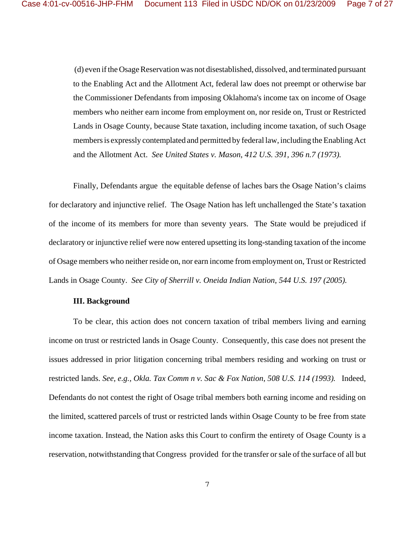(d) even if the Osage Reservation was not disestablished, dissolved, and terminated pursuant to the Enabling Act and the Allotment Act, federal law does not preempt or otherwise bar the Commissioner Defendants from imposing Oklahoma's income tax on income of Osage members who neither earn income from employment on, nor reside on, Trust or Restricted Lands in Osage County, because State taxation, including income taxation, of such Osage members is expressly contemplated and permitted by federal law, including the Enabling Act and the Allotment Act. *See United States v. Mason*, *412 U.S. 391, 396 n.7 (1973).* 

Finally, Defendants argue the equitable defense of laches bars the Osage Nation's claims for declaratory and injunctive relief. The Osage Nation has left unchallenged the State's taxation of the income of its members for more than seventy years. The State would be prejudiced if declaratory or injunctive relief were now entered upsetting its long-standing taxation of the income of Osage members who neither reside on, nor earn income from employment on, Trust or Restricted Lands in Osage County. *See City of Sherrill v. Oneida Indian Nation*, *544 U.S. 197 (2005).* 

#### **III. Background**

To be clear, this action does not concern taxation of tribal members living and earning income on trust or restricted lands in Osage County. Consequently, this case does not present the issues addressed in prior litigation concerning tribal members residing and working on trust or restricted lands. *See, e.g., Okla. Tax Comm n v. Sac & Fox Nation*, *508 U.S. 114 (1993).* Indeed, Defendants do not contest the right of Osage tribal members both earning income and residing on the limited, scattered parcels of trust or restricted lands within Osage County to be free from state income taxation. Instead, the Nation asks this Court to confirm the entirety of Osage County is a reservation, notwithstanding that Congress provided for the transfer or sale of the surface of all but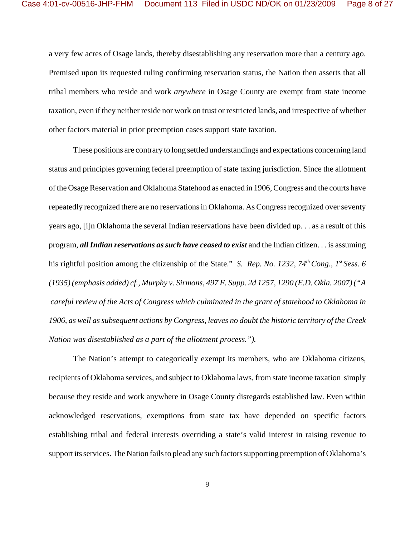a very few acres of Osage lands, thereby disestablishing any reservation more than a century ago. Premised upon its requested ruling confirming reservation status, the Nation then asserts that all tribal members who reside and work *anywhere* in Osage County are exempt from state income taxation, even if they neither reside nor work on trust or restricted lands, and irrespective of whether other factors material in prior preemption cases support state taxation.

These positions are contrary to long settled understandings and expectations concerning land status and principles governing federal preemption of state taxing jurisdiction. Since the allotment of the Osage Reservation and Oklahoma Statehood as enacted in 1906, Congress and the courts have repeatedly recognized there are no reservations in Oklahoma. As Congress recognized over seventy years ago, [i]n Oklahoma the several Indian reservations have been divided up. . . as a result of this program, *all Indian reservations as such have ceased to exist* and the Indian citizen. . . is assuming his rightful position among the citizenship of the State." *S. Rep. No. 1232, 74<sup>th</sup> Cong., 1<sup>st</sup> Sess. 6 (1935) (emphasis added) cf., Murphy v. Sirmons*, *497 F. Supp. 2d 1257, 1290 (E.D. Okla. 2007) ("A careful review of the Acts of Congress which culminated in the grant of statehood to Oklahoma in 1906, as well as subsequent actions by Congress, leaves no doubt the historic territory of the Creek Nation was disestablished as a part of the allotment process.").* 

The Nation's attempt to categorically exempt its members, who are Oklahoma citizens, recipients of Oklahoma services, and subject to Oklahoma laws, from state income taxation simply because they reside and work anywhere in Osage County disregards established law. Even within acknowledged reservations, exemptions from state tax have depended on specific factors establishing tribal and federal interests overriding a state's valid interest in raising revenue to support its services. The Nation fails to plead any such factors supporting preemption of Oklahoma's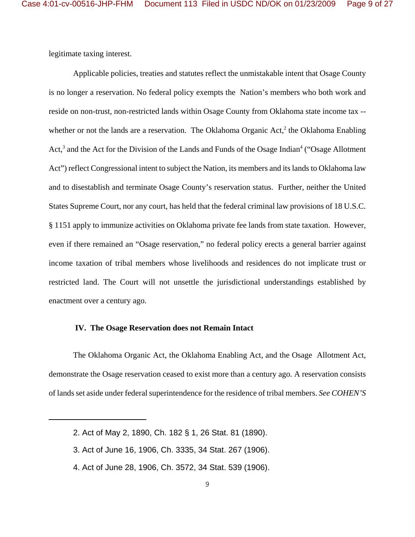legitimate taxing interest.

Applicable policies, treaties and statutes reflect the unmistakable intent that Osage County is no longer a reservation. No federal policy exempts the Nation's members who both work and reside on non-trust, non-restricted lands within Osage County from Oklahoma state income tax - whether or not the lands are a reservation. The Oklahoma Organic Act,<sup>2</sup> the Oklahoma Enabling Act,<sup>3</sup> and the Act for the Division of the Lands and Funds of the Osage Indian<sup>4</sup> ("Osage Allotment Act") reflect Congressional intent to subject the Nation, its members and its lands to Oklahoma law and to disestablish and terminate Osage County's reservation status. Further, neither the United States Supreme Court, nor any court, has held that the federal criminal law provisions of 18 U.S.C. § 1151 apply to immunize activities on Oklahoma private fee lands from state taxation. However, even if there remained an "Osage reservation," no federal policy erects a general barrier against income taxation of tribal members whose livelihoods and residences do not implicate trust or restricted land. The Court will not unsettle the jurisdictional understandings established by enactment over a century ago.

#### **IV. The Osage Reservation does not Remain Intact**

The Oklahoma Organic Act, the Oklahoma Enabling Act, and the Osage Allotment Act, demonstrate the Osage reservation ceased to exist more than a century ago. A reservation consists of lands set aside under federal superintendence for the residence of tribal members. *See COHEN'S*

- 3. Act of June 16, 1906, Ch. 3335, 34 Stat. 267 (1906).
- 4. Act of June 28, 1906, Ch. 3572, 34 Stat. 539 (1906).

<sup>2.</sup> Act of May 2, 1890, Ch. 182 § 1, 26 Stat. 81 (1890).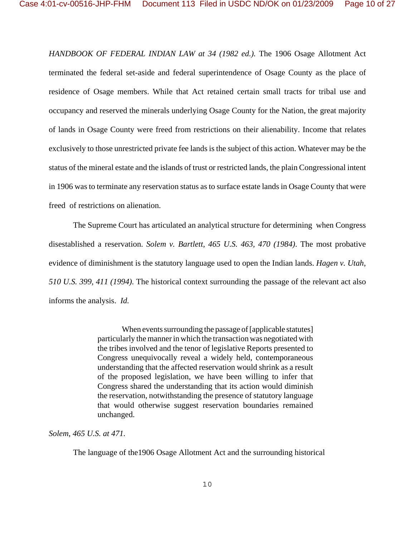*HANDBOOK OF FEDERAL INDIAN LAW at 34 (1982 ed.).* The 1906 Osage Allotment Act terminated the federal set-aside and federal superintendence of Osage County as the place of residence of Osage members. While that Act retained certain small tracts for tribal use and occupancy and reserved the minerals underlying Osage County for the Nation, the great majority of lands in Osage County were freed from restrictions on their alienability. Income that relates exclusively to those unrestricted private fee lands is the subject of this action. Whatever may be the status of the mineral estate and the islands of trust or restricted lands, the plain Congressional intent in 1906 was to terminate any reservation status as to surface estate lands in Osage County that were freed of restrictions on alienation.

The Supreme Court has articulated an analytical structure for determining when Congress disestablished a reservation. *Solem v. Bartlett*, *465 U.S. 463, 470 (1984)*. The most probative evidence of diminishment is the statutory language used to open the Indian lands. *Hagen v. Utah*, *510 U.S. 399, 411 (1994)*. The historical context surrounding the passage of the relevant act also informs the analysis. *Id.* 

> When events surrounding the passage of [applicable statutes] particularly the manner in which the transaction was negotiated with the tribes involved and the tenor of legislative Reports presented to Congress unequivocally reveal a widely held, contemporaneous understanding that the affected reservation would shrink as a result of the proposed legislation, we have been willing to infer that Congress shared the understanding that its action would diminish the reservation, notwithstanding the presence of statutory language that would otherwise suggest reservation boundaries remained unchanged.

*Solem*, *465 U.S. at 471.*

The language of the1906 Osage Allotment Act and the surrounding historical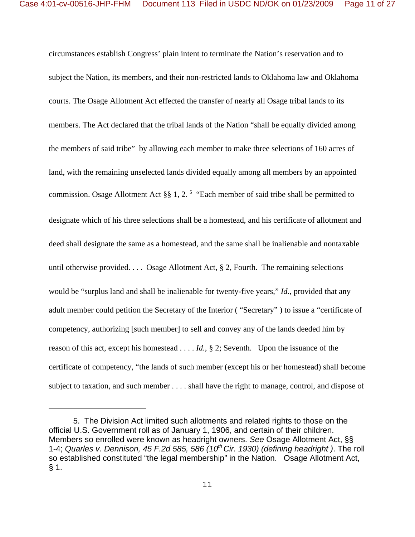circumstances establish Congress' plain intent to terminate the Nation's reservation and to subject the Nation, its members, and their non-restricted lands to Oklahoma law and Oklahoma courts. The Osage Allotment Act effected the transfer of nearly all Osage tribal lands to its members. The Act declared that the tribal lands of the Nation "shall be equally divided among the members of said tribe" by allowing each member to make three selections of 160 acres of land, with the remaining unselected lands divided equally among all members by an appointed commission. Osage Allotment Act §§ 1, 2.<sup>5</sup> "Each member of said tribe shall be permitted to designate which of his three selections shall be a homestead, and his certificate of allotment and deed shall designate the same as a homestead, and the same shall be inalienable and nontaxable until otherwise provided. . . . Osage Allotment Act, § 2, Fourth. The remaining selections would be "surplus land and shall be inalienable for twenty-five years," *Id.*, provided that any adult member could petition the Secretary of the Interior ( "Secretary" ) to issue a "certificate of competency, authorizing [such member] to sell and convey any of the lands deeded him by reason of this act, except his homestead . . . . *Id.*, § 2; Seventh. Upon the issuance of the certificate of competency, "the lands of such member (except his or her homestead) shall become subject to taxation, and such member . . . . shall have the right to manage, control, and dispose of

5. The Division Act limited such allotments and related rights to those on the official U.S. Government roll as of January 1, 1906, and certain of their children. Members so enrolled were known as headright owners. *See* Osage Allotment Act, §§ 1-4; *Quarles v. Dennison, 45 F.2d 585, 586 (10th Cir. 1930) (defining headright )*. The roll so established constituted "the legal membership" in the Nation. Osage Allotment Act, § 1.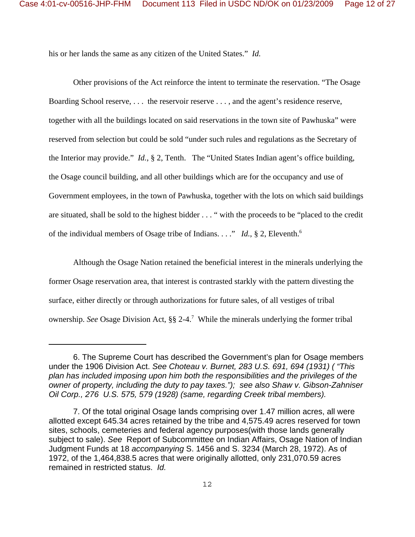his or her lands the same as any citizen of the United States." *Id.*

Other provisions of the Act reinforce the intent to terminate the reservation. "The Osage Boarding School reserve, . . . the reservoir reserve . . . , and the agent's residence reserve, together with all the buildings located on said reservations in the town site of Pawhuska" were reserved from selection but could be sold "under such rules and regulations as the Secretary of the Interior may provide." *Id.*, § 2, Tenth. The "United States Indian agent's office building, the Osage council building, and all other buildings which are for the occupancy and use of Government employees, in the town of Pawhuska, together with the lots on which said buildings are situated, shall be sold to the highest bidder . . . " with the proceeds to be "placed to the credit of the individual members of Osage tribe of Indians. . . ." *Id.*, § 2, Eleventh.6

Although the Osage Nation retained the beneficial interest in the minerals underlying the former Osage reservation area, that interest is contrasted starkly with the pattern divesting the surface, either directly or through authorizations for future sales, of all vestiges of tribal ownership. *See* Osage Division Act, §§ 2-4.<sup>7</sup> While the minerals underlying the former tribal

<sup>6.</sup> The Supreme Court has described the Government's plan for Osage members under the 1906 Division Act. *See Choteau v. Burnet, 283 U.S. 691, 694 (1931) ( "This plan has included imposing upon him both the responsibilities and the privileges of the owner of property, including the duty to pay taxes."); see also Shaw v. Gibson-Zahniser Oil Corp., 276 U.S. 575, 579 (1928) (same, regarding Creek tribal members).*

<sup>7.</sup> Of the total original Osage lands comprising over 1.47 million acres, all were allotted except 645.34 acres retained by the tribe and 4,575.49 acres reserved for town sites, schools, cemeteries and federal agency purposes(with those lands generally subject to sale). *See* Report of Subcommittee on Indian Affairs, Osage Nation of Indian Judgment Funds at 18 *accompanying* S. 1456 and S. 3234 (March 28, 1972). As of 1972, of the 1,464,838.5 acres that were originally allotted, only 231,070.59 acres remained in restricted status. *Id.*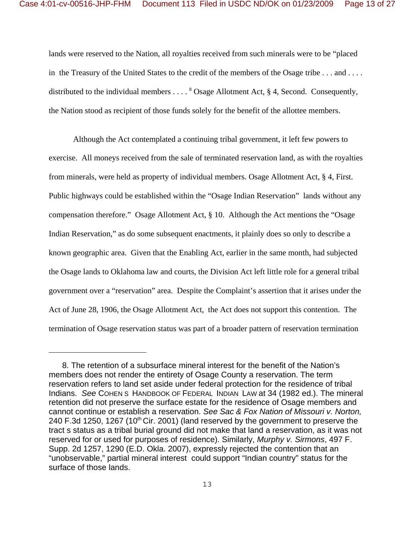lands were reserved to the Nation, all royalties received from such minerals were to be "placed in the Treasury of the United States to the credit of the members of the Osage tribe . . . and . . . . distributed to the individual members  $\ldots$ <sup>8</sup> Osage Allotment Act, § 4, Second. Consequently, the Nation stood as recipient of those funds solely for the benefit of the allottee members.

Although the Act contemplated a continuing tribal government, it left few powers to exercise. All moneys received from the sale of terminated reservation land, as with the royalties from minerals, were held as property of individual members. Osage Allotment Act, § 4, First. Public highways could be established within the "Osage Indian Reservation" lands without any compensation therefore." Osage Allotment Act, § 10. Although the Act mentions the "Osage Indian Reservation," as do some subsequent enactments, it plainly does so only to describe a known geographic area. Given that the Enabling Act, earlier in the same month, had subjected the Osage lands to Oklahoma law and courts, the Division Act left little role for a general tribal government over a "reservation" area. Despite the Complaint's assertion that it arises under the Act of June 28, 1906, the Osage Allotment Act, the Act does not support this contention. The termination of Osage reservation status was part of a broader pattern of reservation termination

 <sup>8.</sup> The retention of a subsurface mineral interest for the benefit of the Nation's members does not render the entirety of Osage County a reservation. The term reservation refers to land set aside under federal protection for the residence of tribal Indians. *See* COHEN S HANDBOOK OF FEDERAL INDIAN LAW at 34 (1982 ed.). The mineral retention did not preserve the surface estate for the residence of Osage members and cannot continue or establish a reservation. *See Sac & Fox Nation of Missouri v. Norton,* 240 F.3d 1250, 1267 (10<sup>th</sup> Cir. 2001) (land reserved by the government to preserve the tract s status as a tribal burial ground did not make that land a reservation, as it was not reserved for or used for purposes of residence). Similarly, *Murphy v. Sirmons*, 497 F. Supp. 2d 1257, 1290 (E.D. Okla. 2007), expressly rejected the contention that an "unobservable," partial mineral interest could support "Indian country" status for the surface of those lands.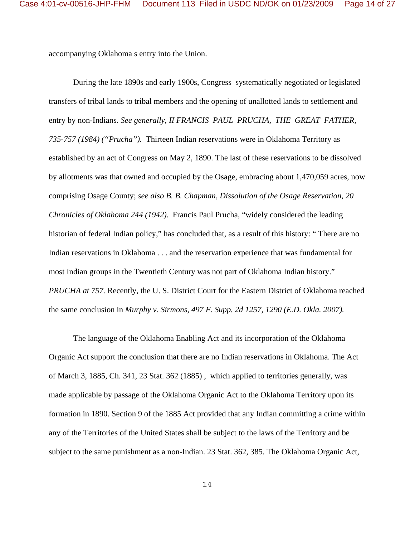accompanying Oklahoma s entry into the Union.

During the late 1890s and early 1900s, Congress systematically negotiated or legislated transfers of tribal lands to tribal members and the opening of unallotted lands to settlement and entry by non-Indians. *See generally*, *II FRANCIS PAUL PRUCHA, THE GREAT FATHER, 735-757 (1984) ("Prucha").* Thirteen Indian reservations were in Oklahoma Territory as established by an act of Congress on May 2, 1890. The last of these reservations to be dissolved by allotments was that owned and occupied by the Osage, embracing about 1,470,059 acres, now comprising Osage County; *see also B. B. Chapman, Dissolution of the Osage Reservation, 20 Chronicles of Oklahoma 244 (1942).* Francis Paul Prucha, "widely considered the leading historian of federal Indian policy," has concluded that, as a result of this history: " There are no Indian reservations in Oklahoma . . . and the reservation experience that was fundamental for most Indian groups in the Twentieth Century was not part of Oklahoma Indian history." *PRUCHA at 757.* Recently, the U. S. District Court for the Eastern District of Oklahoma reached the same conclusion in *Murphy v. Sirmons*, *497 F. Supp. 2d 1257, 1290 (E.D. Okla. 2007).* 

The language of the Oklahoma Enabling Act and its incorporation of the Oklahoma Organic Act support the conclusion that there are no Indian reservations in Oklahoma. The Act of March 3, 1885, Ch. 341, 23 Stat. 362 (1885) , which applied to territories generally, was made applicable by passage of the Oklahoma Organic Act to the Oklahoma Territory upon its formation in 1890. Section 9 of the 1885 Act provided that any Indian committing a crime within any of the Territories of the United States shall be subject to the laws of the Territory and be subject to the same punishment as a non-Indian. 23 Stat. 362, 385. The Oklahoma Organic Act,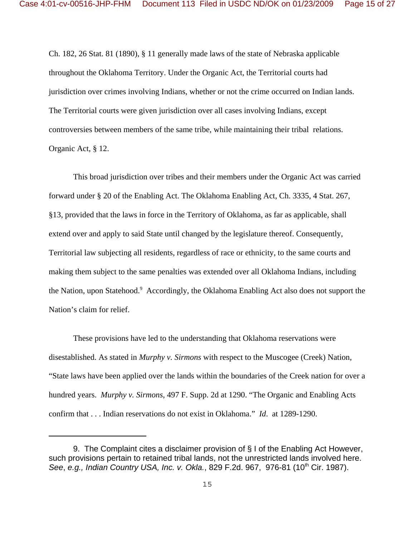Ch. 182, 26 Stat. 81 (1890), § 11 generally made laws of the state of Nebraska applicable throughout the Oklahoma Territory. Under the Organic Act, the Territorial courts had jurisdiction over crimes involving Indians, whether or not the crime occurred on Indian lands. The Territorial courts were given jurisdiction over all cases involving Indians, except controversies between members of the same tribe, while maintaining their tribal relations. Organic Act, § 12.

This broad jurisdiction over tribes and their members under the Organic Act was carried forward under § 20 of the Enabling Act. The Oklahoma Enabling Act, Ch. 3335, 4 Stat. 267, §13, provided that the laws in force in the Territory of Oklahoma, as far as applicable, shall extend over and apply to said State until changed by the legislature thereof. Consequently, Territorial law subjecting all residents, regardless of race or ethnicity, to the same courts and making them subject to the same penalties was extended over all Oklahoma Indians, including the Nation, upon Statehood.<sup>9</sup> Accordingly, the Oklahoma Enabling Act also does not support the Nation's claim for relief.

These provisions have led to the understanding that Oklahoma reservations were disestablished. As stated in *Murphy v. Sirmons* with respect to the Muscogee (Creek) Nation, "State laws have been applied over the lands within the boundaries of the Creek nation for over a hundred years. *Murphy v. Sirmons*, 497 F. Supp. 2d at 1290. "The Organic and Enabling Acts confirm that . . . Indian reservations do not exist in Oklahoma." *Id*. at 1289-1290.

<sup>9.</sup> The Complaint cites a disclaimer provision of § I of the Enabling Act However, such provisions pertain to retained tribal lands, not the unrestricted lands involved here. See, e.g., *Indian Country USA, Inc. v. Okla.*, 829 F.2d. 967, 976-81 (10<sup>th</sup> Cir. 1987).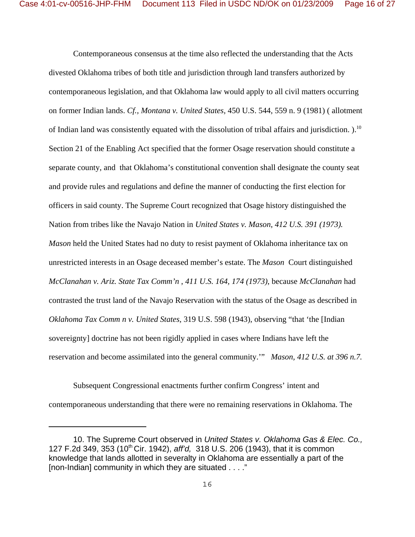Contemporaneous consensus at the time also reflected the understanding that the Acts divested Oklahoma tribes of both title and jurisdiction through land transfers authorized by contemporaneous legislation, and that Oklahoma law would apply to all civil matters occurring on former Indian lands. *Cf., Montana v. United States,* 450 U.S. 544, 559 n. 9 (1981) ( allotment of Indian land was consistently equated with the dissolution of tribal affairs and jurisdiction. ).10 Section 21 of the Enabling Act specified that the former Osage reservation should constitute a separate county, and that Oklahoma's constitutional convention shall designate the county seat and provide rules and regulations and define the manner of conducting the first election for officers in said county. The Supreme Court recognized that Osage history distinguished the Nation from tribes like the Navajo Nation in *United States v. Mason*, *412 U.S. 391 (1973). Mason* held the United States had no duty to resist payment of Oklahoma inheritance tax on unrestricted interests in an Osage deceased member's estate. The *Mason* Court distinguished *McClanahan v. Ariz. State Tax Comm'n* , *411 U.S. 164, 174 (1973)*, because *McClanahan* had contrasted the trust land of the Navajo Reservation with the status of the Osage as described in *Oklahoma Tax Comm n v. United States,* 319 U.S. 598 (1943), observing "that 'the [Indian sovereignty] doctrine has not been rigidly applied in cases where Indians have left the reservation and become assimilated into the general community.'" *Mason, 412 U.S. at 396 n.7.* 

Subsequent Congressional enactments further confirm Congress' intent and contemporaneous understanding that there were no remaining reservations in Oklahoma. The

<sup>10.</sup> The Supreme Court observed in *United States v. Oklahoma Gas & Elec. Co.,* 127 F.2d 349, 353 (10th Cir. 1942), *aff'd,* 318 U.S. 206 (1943), that it is common knowledge that lands allotted in severalty in Oklahoma are essentially a part of the [non-Indian] community in which they are situated . . . ."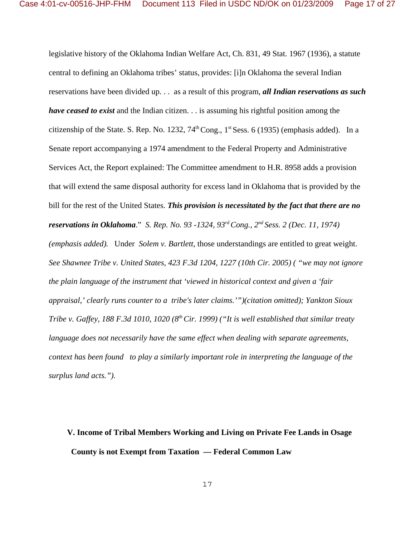legislative history of the Oklahoma Indian Welfare Act, Ch. 831, 49 Stat. 1967 (1936), a statute central to defining an Oklahoma tribes' status, provides: [i]n Oklahoma the several Indian reservations have been divided up. . . as a result of this program, *all Indian reservations as such have ceased to exist* and the Indian citizen. . . is assuming his rightful position among the citizenship of the State. S. Rep. No. 1232,  $74^{\text{th}}$ Cong.,  $1^{\text{st}}$  Sess. 6 (1935) (emphasis added). In a Senate report accompanying a 1974 amendment to the Federal Property and Administrative Services Act, the Report explained: The Committee amendment to H.R. 8958 adds a provision that will extend the same disposal authority for excess land in Oklahoma that is provided by the bill for the rest of the United States. *This provision is necessitated by the fact that there are no reservations in Oklahoma*." *S. Rep. No. 93 -1324, 93rd Cong., 2nd Sess. 2 (Dec. 11, 1974) (emphasis added).* Under *Solem v. Bartlett,* those understandings are entitled to great weight. *See Shawnee Tribe v. United States*, *423 F.3d 1204, 1227 (10th Cir. 2005) ( "we may not ignore the plain language of the instrument that 'viewed in historical context and given a 'fair appraisal,' clearly runs counter to a tribe's later claims.'")(citation omitted); Yankton Sioux Tribe v. Gaffey, 188 F.3d 1010, 1020 (8<sup>th</sup> Cir. 1999) ("It is well established that similar treaty language does not necessarily have the same effect when dealing with separate agreements, context has been found to play a similarly important role in interpreting the language of the surplus land acts.").* 

# **V. Income of Tribal Members Working and Living on Private Fee Lands in Osage County is not Exempt from Taxation — Federal Common Law**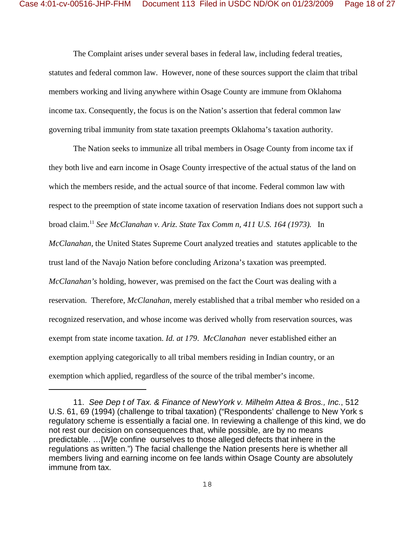The Complaint arises under several bases in federal law, including federal treaties, statutes and federal common law. However, none of these sources support the claim that tribal members working and living anywhere within Osage County are immune from Oklahoma income tax. Consequently, the focus is on the Nation's assertion that federal common law governing tribal immunity from state taxation preempts Oklahoma's taxation authority.

 The Nation seeks to immunize all tribal members in Osage County from income tax if they both live and earn income in Osage County irrespective of the actual status of the land on which the members reside, and the actual source of that income. Federal common law with respect to the preemption of state income taxation of reservation Indians does not support such a broad claim.11 *See McClanahan v. Ariz. State Tax Comm n, 411 U.S. 164 (1973).* In *McClanahan,* the United States Supreme Court analyzed treaties and statutes applicable to the trust land of the Navajo Nation before concluding Arizona's taxation was preempted. *McClanahan's* holding*,* however, was premised on the fact the Court was dealing with a reservation. Therefore, *McClanahan*, merely established that a tribal member who resided on a recognized reservation, and whose income was derived wholly from reservation sources, was exempt from state income taxation. *Id. at 179*. *McClanahan* never established either an exemption applying categorically to all tribal members residing in Indian country, or an exemption which applied, regardless of the source of the tribal member's income.

<sup>11.</sup> *See Dep t of Tax. & Finance of NewYork v. Milhelm Attea & Bros., Inc.*, 512 U.S. 61, 69 (1994) (challenge to tribal taxation) ("Respondents' challenge to New York s regulatory scheme is essentially a facial one. In reviewing a challenge of this kind, we do not rest our decision on consequences that, while possible, are by no means predictable. …[W]e confine ourselves to those alleged defects that inhere in the regulations as written.") The facial challenge the Nation presents here is whether all members living and earning income on fee lands within Osage County are absolutely immune from tax.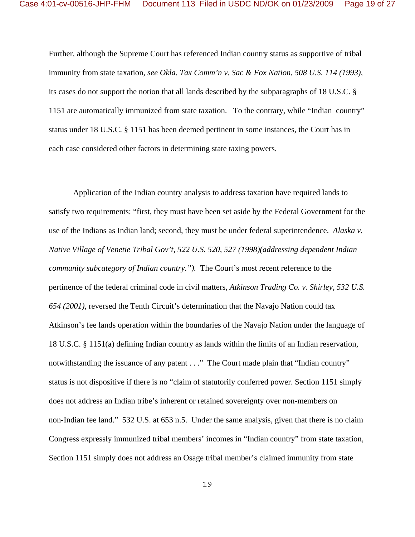Further, although the Supreme Court has referenced Indian country status as supportive of tribal immunity from state taxation, *see Okla. Tax Comm'n v. Sac & Fox Nation*, *508 U.S. 114 (1993),* its cases do not support the notion that all lands described by the subparagraphs of 18 U.S.C. § 1151 are automatically immunized from state taxation. To the contrary, while "Indian country" status under 18 U.S.C. § 1151 has been deemed pertinent in some instances, the Court has in each case considered other factors in determining state taxing powers.

Application of the Indian country analysis to address taxation have required lands to satisfy two requirements: "first, they must have been set aside by the Federal Government for the use of the Indians as Indian land; second, they must be under federal superintendence. *Alaska v. Native Village of Venetie Tribal Gov't, 522 U.S. 520, 527 (1998)(addressing dependent Indian community subcategory of Indian country.").* The Court's most recent reference to the pertinence of the federal criminal code in civil matters, *Atkinson Trading Co. v. Shirley, 532 U.S. 654 (2001)*, reversed the Tenth Circuit's determination that the Navajo Nation could tax Atkinson's fee lands operation within the boundaries of the Navajo Nation under the language of 18 U.S.C. § 1151(a) defining Indian country as lands within the limits of an Indian reservation, notwithstanding the issuance of any patent . . ." The Court made plain that "Indian country" status is not dispositive if there is no "claim of statutorily conferred power. Section 1151 simply does not address an Indian tribe's inherent or retained sovereignty over non-members on non-Indian fee land." 532 U.S. at 653 n.5. Under the same analysis, given that there is no claim Congress expressly immunized tribal members' incomes in "Indian country" from state taxation, Section 1151 simply does not address an Osage tribal member's claimed immunity from state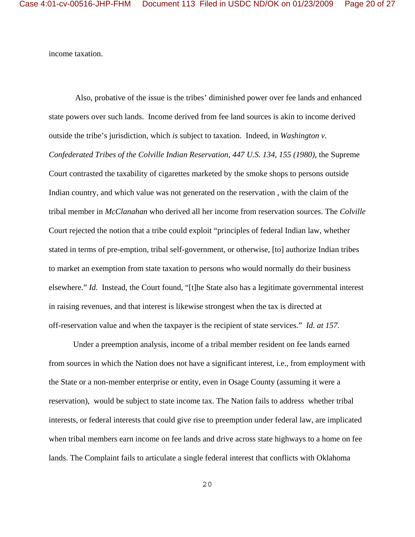income taxation.

 Also, probative of the issue is the tribes' diminished power over fee lands and enhanced state powers over such lands. Income derived from fee land sources is akin to income derived outside the tribe's jurisdiction, which *is* subject to taxation. Indeed, in *Washington v. Confederated Tribes of the Colville Indian Reservation*, *447 U.S. 134, 155 (1980),* the Supreme Court contrasted the taxability of cigarettes marketed by the smoke shops to persons outside Indian country, and which value was not generated on the reservation , with the claim of the tribal member in *McClanahan* who derived all her income from reservation sources. The *Colville* Court rejected the notion that a tribe could exploit "principles of federal Indian law, whether stated in terms of pre-emption, tribal self-government, or otherwise, [to] authorize Indian tribes to market an exemption from state taxation to persons who would normally do their business elsewhere." *Id.* Instead, the Court found, "[t]he State also has a legitimate governmental interest in raising revenues, and that interest is likewise strongest when the tax is directed at off-reservation value and when the taxpayer is the recipient of state services." *Id. at 157.* 

Under a preemption analysis, income of a tribal member resident on fee lands earned from sources in which the Nation does not have a significant interest, i.e., from employment with the State or a non-member enterprise or entity, even in Osage County (assuming it were a reservation), would be subject to state income tax. The Nation fails to address whether tribal interests, or federal interests that could give rise to preemption under federal law, are implicated when tribal members earn income on fee lands and drive across state highways to a home on fee lands. The Complaint fails to articulate a single federal interest that conflicts with Oklahoma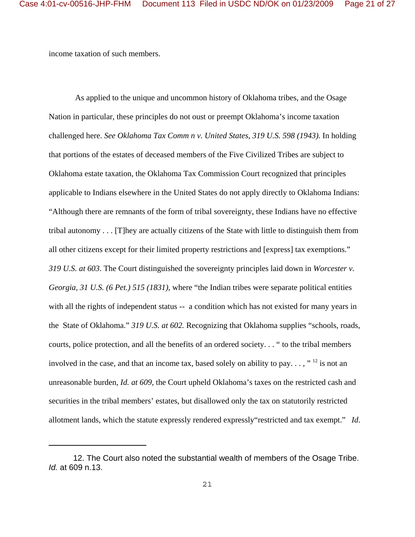income taxation of such members.

 As applied to the unique and uncommon history of Oklahoma tribes, and the Osage Nation in particular, these principles do not oust or preempt Oklahoma's income taxation challenged here. *See Oklahoma Tax Comm n v. United States*, *319 U.S. 598 (1943).* In holding that portions of the estates of deceased members of the Five Civilized Tribes are subject to Oklahoma estate taxation, the Oklahoma Tax Commission Court recognized that principles applicable to Indians elsewhere in the United States do not apply directly to Oklahoma Indians: "Although there are remnants of the form of tribal sovereignty, these Indians have no effective tribal autonomy . . . [T]hey are actually citizens of the State with little to distinguish them from all other citizens except for their limited property restrictions and [express] tax exemptions." *319 U.S. at 603*. The Court distinguished the sovereignty principles laid down in *Worcester v. Georgia, 31 U.S. (6 Pet.) 515 (1831)*, where "the Indian tribes were separate political entities with all the rights of independent status -- a condition which has not existed for many years in the State of Oklahoma." *319 U.S. at 602.* Recognizing that Oklahoma supplies "schools, roads, courts, police protection, and all the benefits of an ordered society. . . " to the tribal members involved in the case, and that an income tax, based solely on ability to pay...," <sup>12</sup> is not an unreasonable burden, *Id. at 609*, the Court upheld Oklahoma's taxes on the restricted cash and securities in the tribal members' estates, but disallowed only the tax on statutorily restricted allotment lands, which the statute expressly rendered expressly"restricted and tax exempt." *Id*.

<sup>12.</sup> The Court also noted the substantial wealth of members of the Osage Tribe. *Id.* at 609 n.13.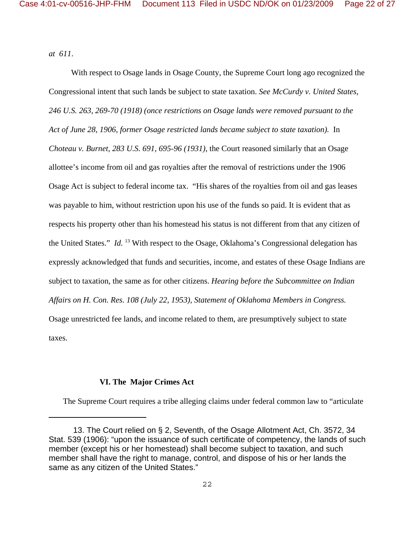*at 611*.

 With respect to Osage lands in Osage County, the Supreme Court long ago recognized the Congressional intent that such lands be subject to state taxation. *See McCurdy v. United States*, *246 U.S. 263, 269-70 (1918) (once restrictions on Osage lands were removed pursuant to the Act of June 28, 1906, former Osage restricted lands became subject to state taxation).* In *Choteau v. Burnet, 283 U.S. 691, 695-96 (1931)*, the Court reasoned similarly that an Osage allottee's income from oil and gas royalties after the removal of restrictions under the 1906 Osage Act is subject to federal income tax. "His shares of the royalties from oil and gas leases was payable to him, without restriction upon his use of the funds so paid. It is evident that as respects his property other than his homestead his status is not different from that any citizen of the United States." *Id.* 13 With respect to the Osage, Oklahoma's Congressional delegation has expressly acknowledged that funds and securities, income, and estates of these Osage Indians are subject to taxation, the same as for other citizens. *Hearing before the Subcommittee on Indian Affairs on H. Con. Res. 108 (July 22, 1953), Statement of Oklahoma Members in Congress.*  Osage unrestricted fee lands, and income related to them, are presumptively subject to state taxes.

#### **VI. The Major Crimes Act**

The Supreme Court requires a tribe alleging claims under federal common law to "articulate

<sup>13.</sup> The Court relied on § 2, Seventh, of the Osage Allotment Act, Ch. 3572, 34 Stat. 539 (1906): "upon the issuance of such certificate of competency, the lands of such member (except his or her homestead) shall become subject to taxation, and such member shall have the right to manage, control, and dispose of his or her lands the same as any citizen of the United States."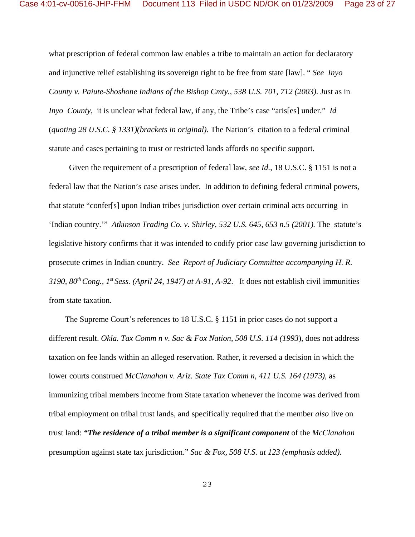what prescription of federal common law enables a tribe to maintain an action for declaratory and injunctive relief establishing its sovereign right to be free from state [law]. " *See Inyo County v. Paiute-Shoshone Indians of the Bishop Cmty.*, *538 U.S. 701, 712 (2003)*. Just as in *Inyo County*, it is unclear what federal law, if any, the Tribe's case "aris[es] under." *Id*  (*quoting 28 U.S.C. § 1331)(brackets in original).* The Nation's citation to a federal criminal statute and cases pertaining to trust or restricted lands affords no specific support.

 Given the requirement of a prescription of federal law, *see Id.*, 18 U.S.C. § 1151 is not a federal law that the Nation's case arises under. In addition to defining federal criminal powers, that statute "confer[s] upon Indian tribes jurisdiction over certain criminal acts occurring in 'Indian country.'" *Atkinson Trading Co. v. Shirley*, *532 U.S. 645, 653 n.5 (2001).* The statute's legislative history confirms that it was intended to codify prior case law governing jurisdiction to prosecute crimes in Indian country. *See Report of Judiciary Committee accompanying H. R.* 3190,  $80^{th}$  Cong.,  $1^{st}$  Sess. (April 24, 1947) at A-91, A-92. It does not establish civil immunities from state taxation.

 The Supreme Court's references to 18 U.S.C. § 1151 in prior cases do not support a different result. *Okla. Tax Comm n v. Sac & Fox Nation*, *508 U.S. 114 (1993*), does not address taxation on fee lands within an alleged reservation. Rather, it reversed a decision in which the lower courts construed *McClanahan v. Ariz. State Tax Comm n*, *411 U.S. 164 (1973),* as immunizing tribal members income from State taxation whenever the income was derived from tribal employment on tribal trust lands, and specifically required that the member *also* live on trust land: *"The residence of a tribal member is a significant component* of the *McClanahan* presumption against state tax jurisdiction." *Sac & Fox, 508 U.S. at 123 (emphasis added).*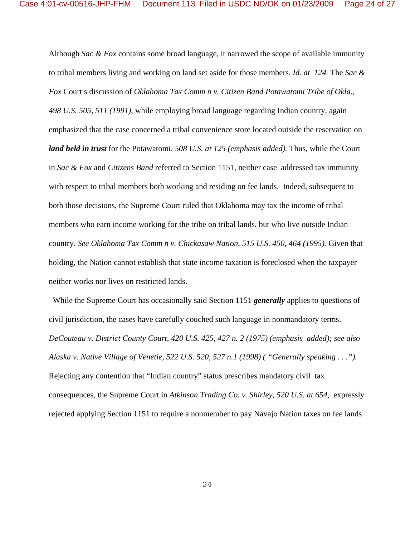Although *Sac & Fox* contains some broad language, it narrowed the scope of available immunity to tribal members living and working on land set aside for those members. *Id. at 124.* The *Sac & Fox* Court s discussion of *Oklahoma Tax Comm n v. Citizen Band Potawatomi Tribe of Okla., 498 U.S. 505, 511 (1991)*, while employing broad language regarding Indian country, again emphasized that the case concerned a tribal convenience store located outside the reservation on *land held in trust* for the Potawatomi. *508 U.S. at 125 (emphasis added).* Thus, while the Court in *Sac & Fox* and *Citizens Band* referred to Section 1151, neither case addressed tax immunity with respect to tribal members both working and residing on fee lands. Indeed, subsequent to both those decisions, the Supreme Court ruled that Oklahoma may tax the income of tribal members who earn income working for the tribe on tribal lands, but who live outside Indian country. *See Oklahoma Tax Comm n v. Chickasaw Nation*, *515 U.S. 450, 464 (1995).* Given that holding, the Nation cannot establish that state income taxation is foreclosed when the taxpayer neither works nor lives on restricted lands.

 While the Supreme Court has occasionally said Section 1151 *generally* applies to questions of civil jurisdiction, the cases have carefully couched such language in nonmandatory terms. *DeCouteau v. District County Court, 420 U.S. 425, 427 n. 2 (1975) (emphasis added); see also Alaska v. Native Village of Venetie, 522 U.S. 520, 527 n.1 (1998) ( "Generally speaking . . .").*  Rejecting any contention that "Indian country" status prescribes mandatory civil tax consequences, the Supreme Court in *Atkinson Trading Co. v. Shirley, 520 U.S. at 654,* expressly rejected applying Section 1151 to require a nonmember to pay Navajo Nation taxes on fee lands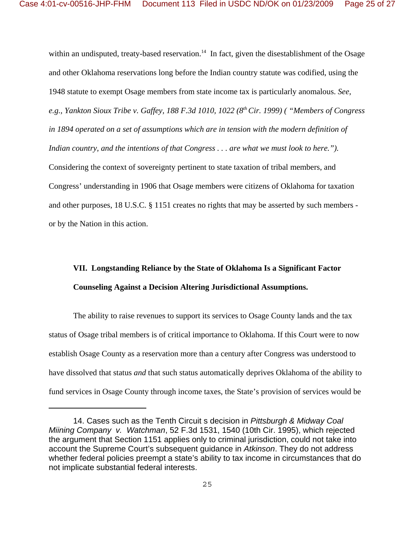within an undisputed, treaty-based reservation.<sup>14</sup> In fact, given the disestablishment of the Osage and other Oklahoma reservations long before the Indian country statute was codified, using the 1948 statute to exempt Osage members from state income tax is particularly anomalous. *See, e.g., Yankton Sioux Tribe v. Gaffey, 188 F.3d 1010, 1022 (8th Cir. 1999) ( "Members of Congress in 1894 operated on a set of assumptions which are in tension with the modern definition of Indian country, and the intentions of that Congress . . . are what we must look to here.").*  Considering the context of sovereignty pertinent to state taxation of tribal members, and Congress' understanding in 1906 that Osage members were citizens of Oklahoma for taxation and other purposes, 18 U.S.C. § 1151 creates no rights that may be asserted by such members or by the Nation in this action.

# **VII. Longstanding Reliance by the State of Oklahoma Is a Significant Factor Counseling Against a Decision Altering Jurisdictional Assumptions.**

The ability to raise revenues to support its services to Osage County lands and the tax status of Osage tribal members is of critical importance to Oklahoma. If this Court were to now establish Osage County as a reservation more than a century after Congress was understood to have dissolved that status *and* that such status automatically deprives Oklahoma of the ability to fund services in Osage County through income taxes, the State's provision of services would be

<sup>14.</sup> Cases such as the Tenth Circuit s decision in *Pittsburgh & Midway Coal Miining Company v. Watchman*, 52 F.3d 1531, 1540 (10th Cir. 1995), which rejected the argument that Section 1151 applies only to criminal jurisdiction, could not take into account the Supreme Court's subsequent guidance in *Atkinson*. They do not address whether federal policies preempt a state's ability to tax income in circumstances that do not implicate substantial federal interests.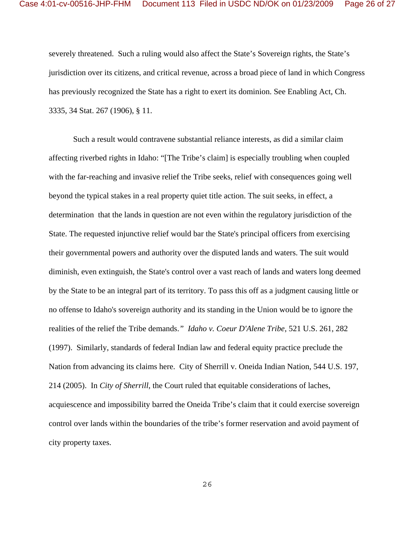severely threatened. Such a ruling would also affect the State's Sovereign rights, the State's jurisdiction over its citizens, and critical revenue, across a broad piece of land in which Congress has previously recognized the State has a right to exert its dominion. See Enabling Act, Ch. 3335, 34 Stat. 267 (1906), § 11.

Such a result would contravene substantial reliance interests, as did a similar claim affecting riverbed rights in Idaho: "[The Tribe's claim] is especially troubling when coupled with the far-reaching and invasive relief the Tribe seeks, relief with consequences going well beyond the typical stakes in a real property quiet title action. The suit seeks, in effect, a determination that the lands in question are not even within the regulatory jurisdiction of the State. The requested injunctive relief would bar the State's principal officers from exercising their governmental powers and authority over the disputed lands and waters. The suit would diminish, even extinguish, the State's control over a vast reach of lands and waters long deemed by the State to be an integral part of its territory. To pass this off as a judgment causing little or no offense to Idaho's sovereign authority and its standing in the Union would be to ignore the realities of the relief the Tribe demands.*" Idaho v. Coeur D'Alene Tribe*, 521 U.S. 261, 282 (1997). Similarly, standards of federal Indian law and federal equity practice preclude the Nation from advancing its claims here. City of Sherrill v. Oneida Indian Nation, 544 U.S. 197, 214 (2005). In *City of Sherrill*, the Court ruled that equitable considerations of laches, acquiescence and impossibility barred the Oneida Tribe's claim that it could exercise sovereign control over lands within the boundaries of the tribe's former reservation and avoid payment of city property taxes.